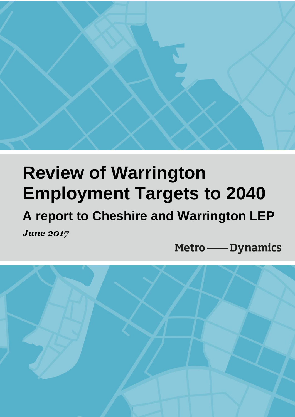

# **Review of Warrington Employment Targets to 2040**

## **A report to Cheshire and Warrington LEP** *June 2017*

Metro - Dynamics

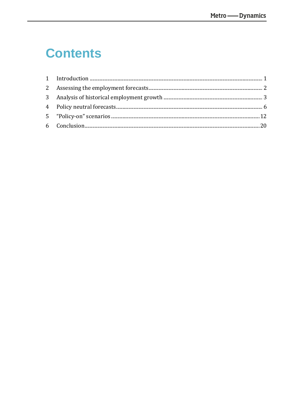## **Contents**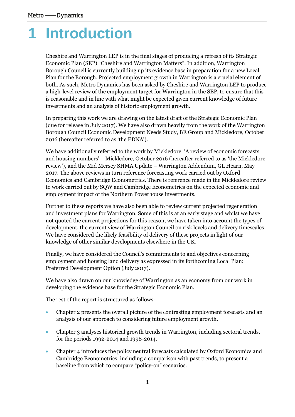## <span id="page-3-0"></span>**1 Introduction**

Cheshire and Warrington LEP is in the final stages of producing a refresh of its Strategic Economic Plan (SEP) "Cheshire and Warrington Matters". In addition, Warrington Borough Council is currently building up its evidence base in preparation for a new Local Plan for the Borough. Projected employment growth in Warrington is a crucial element of both. As such, Metro Dynamics has been asked by Cheshire and Warrington LEP to produce a high-level review of the employment target for Warrington in the SEP, to ensure that this is reasonable and in line with what might be expected given current knowledge of future investments and an analysis of historic employment growth.

In preparing this work we are drawing on the latest draft of the Strategic Economic Plan (due for release in July 2017). We have also drawn heavily from the work of the Warrington Borough Council Economic Development Needs Study, BE Group and Mickledore, October 2016 (hereafter referred to as 'the EDNA').

We have additionally referred to the work by Mickledore, 'A review of economic forecasts and housing numbers' – Mickledore, October 2016 (hereafter referred to as 'the Mickledore review'), and the Mid Mersey SHMA Update – Warrington Addendum, GL Hearn, May 2017. The above reviews in turn reference forecasting work carried out by Oxford Economics and Cambridge Econometrics. There is reference made in the Mickledore review to work carried out by SQW and Cambridge Econometrics on the expected economic and employment impact of the Northern Powerhouse investments.

Further to these reports we have also been able to review current projected regeneration and investment plans for Warrington. Some of this is at an early stage and whilst we have not quoted the current projections for this reason, we have taken into account the types of development, the current view of Warrington Council on risk levels and delivery timescales. We have considered the likely feasibility of delivery of these projects in light of our knowledge of other similar developments elsewhere in the UK.

Finally, we have considered the Council's commitments to and objectives concerning employment and housing land delivery as expressed in its forthcoming Local Plan: Preferred Development Option (July 2017).

We have also drawn on our knowledge of Warrington as an economy from our work in developing the evidence base for the Strategic Economic Plan.

The rest of the report is structured as follows:

- Chapter 2 presents the overall picture of the contrasting employment forecasts and an analysis of our approach to considering future employment growth.
- Chapter 3 analyses historical growth trends in Warrington, including sectoral trends, for the periods 1992-2014 and 1998-2014.
- Chapter 4 introduces the policy neutral forecasts calculated by Oxford Economics and Cambridge Econometrics, including a comparison with past trends, to present a baseline from which to compare "policy-on" scenarios.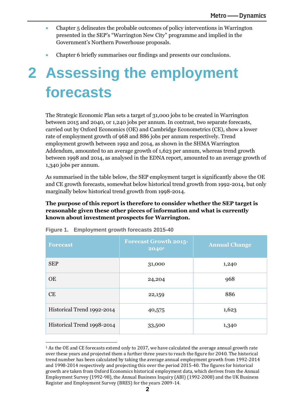- Chapter 5 delineates the probable outcomes of policy interventions in Warrington presented in the SEP's "Warrington New City" programme and implied in the Government's Northern Powerhouse proposals.
- <span id="page-4-0"></span>• Chapter 6 briefly summarises our findings and presents our conclusions.

## **2 Assessing the employment forecasts**

The Strategic Economic Plan sets a target of 31,000 jobs to be created in Warrington between 2015 and 2040, or 1,240 jobs per annum. In contrast, two separate forecasts, carried out by Oxford Economics (OE) and Cambridge Econometrics (CE), show a lower rate of employment growth of 968 and 886 jobs per annum respectively. Trend employment growth between 1992 and 2014, as shown in the SHMA Warrington Addendum, amounted to an average growth of 1,623 per annum, whereas trend growth between 1998 and 2014, as analysed in the EDNA report, amounted to an average growth of 1,340 jobs per annum.

As summarised in the table below, the SEP employment target is significantly above the OE and CE growth forecasts, somewhat below historical trend growth from 1992-2014, but only marginally below historical trend growth from 1998-2014.

### **The purpose of this report is therefore to consider whether the SEP target is reasonable given these other pieces of information and what is currently known about investment prospects for Warrington.**

| <b>Forecast</b>            | <b>Forecast Growth 2015-</b><br>$2040^1$ | <b>Annual Change</b> |  |
|----------------------------|------------------------------------------|----------------------|--|
| <b>SEP</b>                 | 31,000                                   | 1,240                |  |
| <b>OE</b>                  | 24,204                                   | 968                  |  |
| CE                         | 22,159                                   | 886                  |  |
| Historical Trend 1992-2014 | 40,575                                   | 1,623                |  |
| Historical Trend 1998-2014 | 33,500                                   | 1,340                |  |

**Figure 1. Employment growth forecasts 2015-40**

<sup>&</sup>lt;sup>1</sup> As the OE and CE forecasts extend only to 2037, we have calculated the average annual growth rate over these years and projected them a further three years to reach the figure for 2040. The historical trend number has been calculated by taking the average annual employment growth from 1992-2014 and 1998-2014 respectively and projecting this over the period 2015-40. The figures for historical growth are taken from Oxford Economics historical employment data, which derives from the Annual Employment Survey (1992-98), the Annual Business Inquiry (ABI) (1992-2008) and the UK Business Register and Employment Survey (BRES) for the years 2009-14.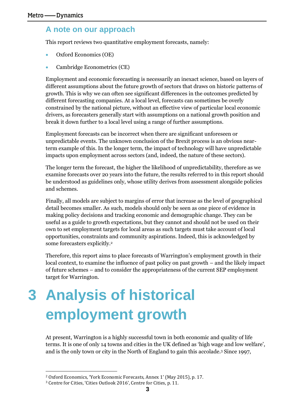### **A note on our approach**

This report reviews two quantitative employment forecasts, namely:

- Oxford Economics (OE)
- Cambridge Econometrics (CE)

Employment and economic forecasting is necessarily an inexact science, based on layers of different assumptions about the future growth of sectors that draws on historic patterns of growth. This is why we can often see significant differences in the outcomes predicted by different forecasting companies. At a local level, forecasts can sometimes be overly constrained by the national picture, without an effective view of particular local economic drivers, as forecasters generally start with assumptions on a national growth position and break it down further to a local level using a range of further assumptions.

Employment forecasts can be incorrect when there are significant unforeseen or unpredictable events. The unknown conclusion of the Brexit process is an obvious nearterm example of this. In the longer term, the impact of technology will have unpredictable impacts upon employment across sectors (and, indeed, the nature of these sectors).

The longer term the forecast, the higher the likelihood of unpredictability, therefore as we examine forecasts over 20 years into the future, the results referred to in this report should be understood as guidelines only, whose utility derives from assessment alongside policies and schemes.

Finally, all models are subject to margins of error that increase as the level of geographical detail becomes smaller. As such, models should only be seen as one piece of evidence in making policy decisions and tracking economic and demographic change. They can be useful as a guide to growth expectations, but they cannot and should not be used on their own to set employment targets for local areas as such targets must take account of local opportunities, constraints and community aspirations. Indeed, this is acknowledged by some forecasters explicitly. 2

Therefore, this report aims to place forecasts of Warrington's employment growth in their local context, to examine the influence of past policy on past growth – and the likely impact of future schemes – and to consider the appropriateness of the current SEP employment target for Warrington.

# <span id="page-5-0"></span>**3 Analysis of historical employment growth**

At present, Warrington is a highly successful town in both economic and quality of life terms. It is one of only 14 towns and cities in the UK defined as 'high wage and low welfare', and is the only town or city in the North of England to gain this accolade.<sup>3</sup> Since 1997,

<sup>2</sup> Oxford Economics, 'York Economic Forecasts, Annex 1' (May 2015), p. 17.

<sup>3</sup> Centre for Cities, 'Cities Outlook 2016', Centre for Cities, p. 11.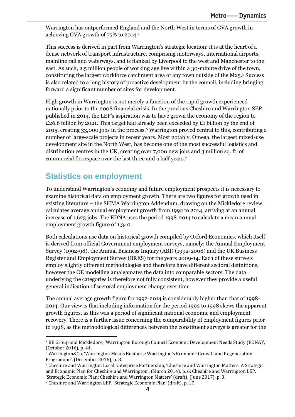Warrington has outperformed England and the North West in terms of GVA growth in achieving GVA growth of 75% to 2014.<sup>4</sup>

This success is derived in part from Warrington's strategic location: it is at the heart of a dense network of transport infrastructure, comprising motorways, international airports, mainline rail and waterways, and is flanked by Liverpool to the west and Manchester to the east. As such, 2.5 million people of working age live within a 30-minute drive of the town, constituting the largest workforce catchment area of any town outside of the M25.<sup>5</sup> Success is also related to a long history of proactive development by the council, including bringing forward a significant number of sites for development.

High growth in Warrington is not merely a function of the rapid growth experienced nationally prior to the 2008 financial crisis. In the previous Cheshire and Warrington SEP, published in 2014, the LEP's aspiration was to have grown the economy of the region to £26.6 billion by 2021. This target had already been exceeded by £1 billion by the end of 2015, creating 33,000 jobs in the process.<sup>6</sup> Warrington proved central to this, contributing a number of large-scale projects in recent years. Most notably, Omega, the largest mixed-use development site in the North West, has become one of the most successful logistics and distribution centres in the UK, creating over 7,000 new jobs and 3 million sq. ft. of commercial floorspace over the last three and a half years.<sup>7</sup>

## **Statistics on employment**

 $\overline{\phantom{a}}$ 

To understand Warrington's economy and future employment prospects it is necessary to examine historical data on employment growth. There are two figures for growth used in existing literature – the SHMA Warrington Addendum, drawing on the Mickledore review, calculates average annual employment growth from 1992 to 2014, arriving at an annual increase of 1,623 jobs. The EDNA uses the period 1998-2014 to calculate a mean annual employment growth figure of 1,340.

Both calculations use data on historical growth compiled by Oxford Economics, which itself is derived from official Government employment surveys, namely: the Annual Employment Survey (1992-98), the Annual Business Inquiry (ABI) (1992-2008) and the UK Business Register and Employment Survey (BRES) for the years 2009-14. Each of these surveys employ slightly different methodologies and therefore have different sectoral definitions, however the OE modelling amalgamates the data into comparable sectors. The data underlying the categories is therefore not fully consistent, however they provide a useful general indication of sectoral employment change over time.

The annual average growth figure for 1992-2014 is considerably higher than that of 1998- 2014. Our view is that including information for the period 1992 to 1998 skews the apparent growth figures, as this was a period of significant national economic and employment recovery. There is a further issue concerning the comparability of employment figures prior to 1998, as the methodological differences between the constituent surveys is greater for the

<sup>6</sup> Cheshire and Warrington Local Enterprise Partnership, 'Cheshire and Warrington Matters: A Strategic and Economic Plan for Cheshire and Warrington', (March 2014), p. 6; Cheshire and Warrington LEP, 'Strategic Economic Plan: Cheshire and Warrington Matters' (draft), (June 2017), p. 3.

<sup>4</sup> BE Group and Mickledore, 'Warrington Borough Council Economic Development Needs Study (EDNA)', (October 2016), p. 44.

<sup>5</sup> Warrington&Co, 'Warrington Means Business: Warrington's Economic Growth and Regeneration Programme', (December 2016), p. 8.

<sup>7</sup> Cheshire and Warrington LEP, 'Strategic Economic Plan' (draft), p. 17.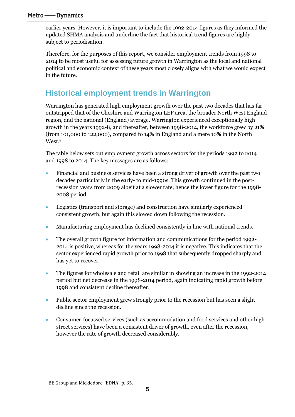earlier years. However, it is important to include the 1992-2014 figures as they informed the updated SHMA analysis and underline the fact that historical trend figures are highly subject to periodisation.

Therefore, for the purposes of this report, we consider employment trends from 1998 to 2014 to be most useful for assessing future growth in Warrington as the local and national political and economic context of these years most closely aligns with what we would expect in the future.

## **Historical employment trends in Warrington**

Warrington has generated high employment growth over the past two decades that has far outstripped that of the Cheshire and Warrington LEP area, the broader North West England region, and the national (England) average. Warrington experienced exceptionally high growth in the years 1992-8, and thereafter, between 1998-2014, the workforce grew by 21% (from 101,000 to 122,000), compared to 14% in England and a mere 10% in the North West.<sup>8</sup>

The table below sets out employment growth across sectors for the periods 1992 to 2014 and 1998 to 2014. The key messages are as follows:

- Financial and business services have been a strong driver of growth over the past two decades particularly in the early- to mid-1990s. This growth continued in the postrecession years from 2009 albeit at a slower rate, hence the lower figure for the 1998- 2008 period.
- Logistics (transport and storage) and construction have similarly experienced consistent growth, but again this slowed down following the recession.
- Manufacturing employment has declined consistently in line with national trends.
- The overall growth figure for information and communications for the period 1992- 2014 is positive, whereas for the years 1998-2014 it is negative. This indicates that the sector experienced rapid growth prior to 1998 that subsequently dropped sharply and has yet to recover.
- The figures for wholesale and retail are similar in showing an increase in the 1992-2014 period but net decrease in the 1998-2014 period, again indicating rapid growth before 1998 and consistent decline thereafter.
- Public sector employment grew strongly prior to the recession but has seen a slight decline since the recession.
- Consumer-focussed services (such as accommodation and food services and other high street services) have been a consistent driver of growth, even after the recession, however the rate of growth decreased considerably.

<sup>8</sup> BE Group and Mickledore, 'EDNA', p. 35.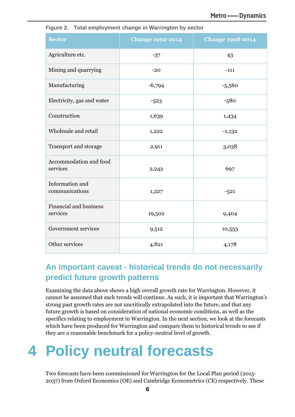| <b>Sector</b>                             | <b>Change 1992-2014</b> | <b>Change 1998-2014</b> |  |
|-------------------------------------------|-------------------------|-------------------------|--|
| Agriculture etc.                          | $-37$                   | 43                      |  |
| Mining and quarrying                      | $-20$                   | $-111$                  |  |
| Manufacturing                             | $-6,794$                | $-5,560$                |  |
| Electricity, gas and water                | $-523$                  | $-580$                  |  |
| Construction                              | 1,639                   | 1,434                   |  |
| Wholesale and retail                      | 1,222                   | $-1,132$                |  |
| Transport and storage                     | 2,911                   | 3,038                   |  |
| Accommodation and food<br>services        | 2,242                   | 697                     |  |
| Information and<br>communications         | 1,227                   | $-521$                  |  |
| <b>Financial and business</b><br>services | 19,502                  | 9,404                   |  |
| Government services                       | 9,512                   | 10,553                  |  |
| Other services                            | 4,821                   | 4,178                   |  |

**Figure 2. Total employment change in Warrington by sector**

## **An important caveat - historical trends do not necessarily predict future growth patterns**

Examining the data above shows a high overall growth rate for Warrington. However, it cannot be assumed that such trends will continue. As such, it is important that Warrington's strong past growth rates are not uncritically extrapolated into the future, and that any future growth is based on consideration of national economic conditions, as well as the specifics relating to employment in Warrington. In the next section, we look at the forecasts which have been produced for Warrington and compare them to historical trends to see if they are a reasonable benchmark for a policy-neutral level of growth.

## <span id="page-8-0"></span>**4 Policy neutral forecasts**

Two forecasts have been commissioned for Warrington for the Local Plan period (2015- 2037) from Oxford Economics (OE) and Cambridge Econometrics (CE) respectively. These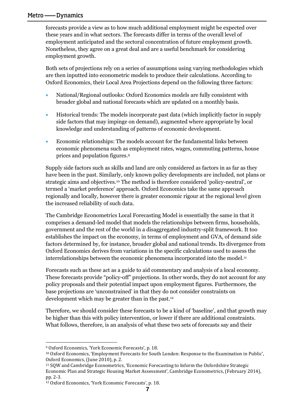forecasts provide a view as to how much additional employment might be expected over these years and in what sectors. The forecasts differ in terms of the overall level of employment anticipated and the sectoral concentration of future employment growth. Nonetheless, they agree on a great deal and are a useful benchmark for considering employment growth.

Both sets of projections rely on a series of assumptions using varying methodologies which are then inputted into econometric models to produce their calculations. According to Oxford Economics, their Local Area Projections depend on the following three factors:

- National/Regional outlooks: Oxford Economics models are fully consistent with broader global and national forecasts which are updated on a monthly basis.
- Historical trends: The models incorporate past data (which implicitly factor in supply side factors that may impinge on demand), augmented where appropriate by local knowledge and understanding of patterns of economic development.
- Economic relationships: The models account for the fundamental links between economic phenomena such as employment rates, wages, commuting patterns, house prices and population figures. 9

Supply side factors such as skills and land are only considered as factors in as far as they have been in the past. Similarly, only known policy developments are included, not plans or strategic aims and objectives.<sup>10</sup> The method is therefore considered 'policy-neutral', or termed a 'market preference' approach. Oxford Economics take the same approach regionally and locally, however there is greater economic rigour at the regional level given the increased reliability of such data.

The Cambridge Econometrics Local Forecasting Model is essentially the same in that it comprises a demand-led model that models the relationships between firms, households, government and the rest of the world in a disaggregated industry-split framework. It too establishes the impact on the economy, in terms of employment and GVA, of demand side factors determined by, for instance, broader global and national trends. Its divergence from Oxford Economics derives from variations in the specific calculations used to assess the interrelationships between the economic phenomena incorporated into the model.<sup>11</sup>

Forecasts such as these act as a guide to aid commentary and analysis of a local economy. These forecasts provide "policy-off" projections. In other words, they do not account for any policy proposals and their potential impact upon employment figures. Furthermore, the base projections are 'unconstrained' in that they do not consider constraints on development which may be greater than in the past.<sup>12</sup>

Therefore, we should consider these forecasts to be a kind of 'baseline', and that growth may be higher than this with policy intervention, or lower if there are additional constraints. What follows, therefore, is an analysis of what these two sets of forecasts say and their

<sup>9</sup> Oxford Economics, 'York Economic Forecasts', p. 18.

<sup>10</sup> Oxford Economics, 'Employment Forecasts for South London: Response to the Examination in Public', Oxford Economics, (June 2010), p. 2.

<sup>11</sup> SQW and Cambridge Econometrics, 'Economic Forecasting to Inform the Oxfordshire Strategic Economic Plan and Strategic Housing Market Assessment', Cambridge Econometrics, (February 2014), pp. 2-3.

<sup>12</sup> Oxford Economics, 'York Economic Forecasts', p. 18.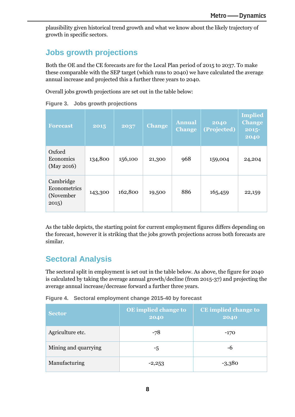plausibility given historical trend growth and what we know about the likely trajectory of growth in specific sectors.

## **Jobs growth projections**

Both the OE and the CE forecasts are for the Local Plan period of 2015 to 2037. To make these comparable with the SEP target (which runs to 2040) we have calculated the average annual increase and projected this a further three years to 2040.

Overall jobs growth projections are set out in the table below:

| <b>Forecast</b>                                 | 2015    | 2037    | <b>Change</b> | <b>Annual</b><br><b>Change</b> | 2040<br>(Projected) | <b>Implied</b><br><b>Change</b><br>2015-<br>2040 |
|-------------------------------------------------|---------|---------|---------------|--------------------------------|---------------------|--------------------------------------------------|
| Oxford<br>Economics<br>(May 2016)               | 134,800 | 156,100 | 21,300        | 968                            | 159,004             | 24,204                                           |
| Cambridge<br>Econometrics<br>(November<br>2015) | 143,300 | 162,800 | 19,500        | 886                            | 165,459             | 22,159                                           |

**Figure 3. Jobs growth projections**

As the table depicts, the starting point for current employment figures differs depending on the forecast, however it is striking that the jobs growth projections across both forecasts are similar.

## **Sectoral Analysis**

The sectoral split in employment is set out in the table below. As above, the figure for 2040 is calculated by taking the average annual growth/decline (from 2015-37) and projecting the average annual increase/decrease forward a further three years.

**Figure 4. Sectoral employment change 2015-40 by forecast**

| <b>Sector</b>        | OE implied change to<br>2040 | <b>CE</b> implied change to<br>2040 |  |
|----------------------|------------------------------|-------------------------------------|--|
| Agriculture etc.     | $-78$                        | $-170$                              |  |
| Mining and quarrying | -5                           | -6                                  |  |
| Manufacturing        | $-2,253$                     | $-3,380$                            |  |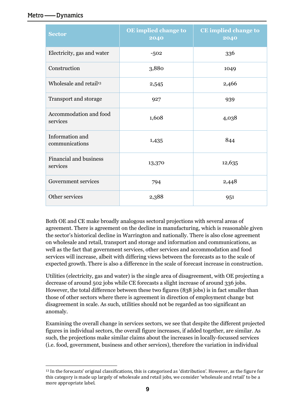| <b>Sector</b>                      | OE implied change to<br>2040 | <b>CE</b> implied change to<br>2040 |  |
|------------------------------------|------------------------------|-------------------------------------|--|
| Electricity, gas and water         | $-502$                       | 336                                 |  |
| Construction                       | 3,880                        | 1049                                |  |
| Wholesale and retail <sup>13</sup> | 2,545                        | 2,466                               |  |
| Transport and storage              | 927                          | 939                                 |  |
| Accommodation and food<br>services | 1,608                        | 4,038                               |  |
| Information and<br>communications  | 1,435                        | 844                                 |  |
| Financial and business<br>services | 13,370                       | 12,635                              |  |
| Government services                | 794                          | 2,448                               |  |
| Other services                     | 2,388                        | 951                                 |  |

Both OE and CE make broadly analogous sectoral projections with several areas of agreement. There is agreement on the decline in manufacturing, which is reasonable given the sector's historical decline in Warrington and nationally. There is also close agreement on wholesale and retail, transport and storage and information and communications, as well as the fact that government services, other services and accommodation and food services will increase, albeit with differing views between the forecasts as to the scale of expected growth. There is also a difference in the scale of forecast increase in construction.

Utilities (electricity, gas and water) is the single area of disagreement, with OE projecting a decrease of around 502 jobs while CE forecasts a slight increase of around 336 jobs. However, the total difference between these two figures (838 jobs) is in fact smaller than those of other sectors where there is agreement in direction of employment change but disagreement in scale. As such, utilities should not be regarded as too significant an anomaly.

Examining the overall change in services sectors, we see that despite the different projected figures in individual sectors, the overall figure increases, if added together, are similar. As such, the projections make similar claims about the increases in locally-focussed services (i.e. food, government, business and other services), therefore the variation in individual

 $\overline{\phantom{a}}$ <sup>13</sup> In the forecasts' original classifications, this is categorised as 'distribution'. However, as the figure for this category is made up largely of wholesale and retail jobs, we consider 'wholesale and retail' to be a more appropriate label.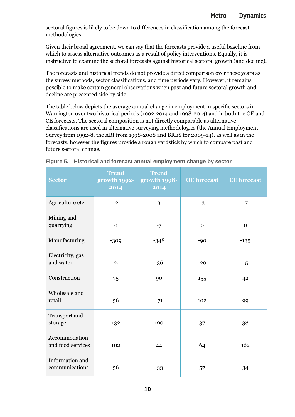sectoral figures is likely to be down to differences in classification among the forecast methodologies.

Given their broad agreement, we can say that the forecasts provide a useful baseline from which to assess alternative outcomes as a result of policy interventions. Equally, it is instructive to examine the sectoral forecasts against historical sectoral growth (and decline).

The forecasts and historical trends do not provide a direct comparison over these years as the survey methods, sector classifications, and time periods vary. However, it remains possible to make certain general observations when past and future sectoral growth and decline are presented side by side.

The table below depicts the average annual change in employment in specific sectors in Warrington over two historical periods (1992-2014 and 1998-2014) and in both the OE and CE forecasts. The sectoral composition is not directly comparable as alternative classifications are used in alternative surveying methodologies (the Annual Employment Survey from 1992-8, the ABI from 1998-2008 and BRES for 2009-14), as well as in the forecasts, however the figures provide a rough yardstick by which to compare past and future sectoral change.

| <b>Sector</b>                      | <b>Trend</b><br>growth 1992-<br>2014 | <b>Trend</b><br>growth 1998-<br>2014 | <b>OE</b> forecast | <b>CE</b> forecast |
|------------------------------------|--------------------------------------|--------------------------------------|--------------------|--------------------|
| Agriculture etc.                   | $-2$                                 | 3                                    | $-3$               | $-7$               |
| Mining and<br>quarrying            | $-1$                                 | $-7$                                 | $\mathbf{O}$       | $\mathbf{O}$       |
| Manufacturing                      | $-309$                               | $-348$                               | $-90$              | $-135$             |
| Electricity, gas<br>and water      | $-24$                                | $-36$                                | $-20$              | 15                 |
| Construction                       | 75                                   | 90                                   | 155                | 42                 |
| Wholesale and<br>retail            | 56                                   | $-71$                                | 102                | 99                 |
| Transport and<br>storage           | 132                                  | 190                                  | 37                 | 38                 |
| Accommodation<br>and food services | 102                                  | 44                                   | 64                 | 162                |
| Information and<br>communications  | 56                                   | $-33$                                | 57                 | 34                 |

**Figure 5. Historical and forecast annual employment change by sector**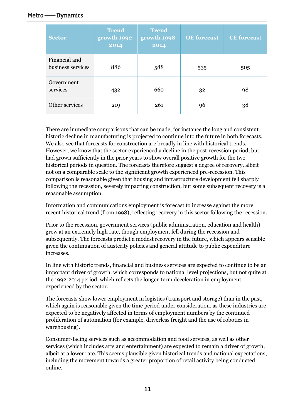| <b>Sector</b>                      | <b>Trend</b><br>growth 1992-<br>2014 | <b>Trend</b><br>growth 1998-<br>2014 | <b>OE</b> forecast | <b>CE</b> forecast |
|------------------------------------|--------------------------------------|--------------------------------------|--------------------|--------------------|
| Financial and<br>business services | 886                                  | 588                                  | 535                | 505                |
| Government<br>services             | 432                                  | 660                                  | 32                 | 98                 |
| Other services                     | 219                                  | 261                                  | 96                 | 38                 |

There are immediate comparisons that can be made, for instance the long and consistent historic decline in manufacturing is projected to continue into the future in both forecasts. We also see that forecasts for construction are broadly in line with historical trends. However, we know that the sector experienced a decline in the post-recession period, but had grown sufficiently in the prior years to show overall positive growth for the two historical periods in question. The forecasts therefore suggest a degree of recovery, albeit not on a comparable scale to the significant growth experienced pre-recession. This comparison is reasonable given that housing and infrastructure development fell sharply following the recession, severely impacting construction, but some subsequent recovery is a reasonable assumption.

Information and communications employment is forecast to increase against the more recent historical trend (from 1998), reflecting recovery in this sector following the recession.

Prior to the recession, government services (public administration, education and health) grew at an extremely high rate, though employment fell during the recession and subsequently. The forecasts predict a modest recovery in the future, which appears sensible given the continuation of austerity policies and general attitude to public expenditure increases.

In line with historic trends, financial and business services are expected to continue to be an important driver of growth, which corresponds to national level projections, but not quite at the 1992-2014 period, which reflects the longer-term deceleration in employment experienced by the sector.

The forecasts show lower employment in logistics (transport and storage) than in the past, which again is reasonable given the time period under consideration, as these industries are expected to be negatively affected in terms of employment numbers by the continued proliferation of automation (for example, driverless freight and the use of robotics in warehousing).

Consumer-facing services such as accommodation and food services, as well as other services (which includes arts and entertainment) are expected to remain a driver of growth, albeit at a lower rate. This seems plausible given historical trends and national expectations, including the movement towards a greater proportion of retail activity being conducted online.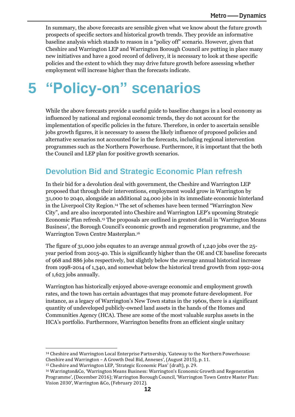In summary, the above forecasts are sensible given what we know about the future growth prospects of specific sectors and historical growth trends. They provide an informative baseline analysis which stands to reason in a "policy off" scenario. However, given that Cheshire and Warrington LEP and Warrington Borough Council are putting in place many new initiatives and have a good record of delivery, it is necessary to look at these specific policies and the extent to which they may drive future growth before assessing whether employment will increase higher than the forecasts indicate.

## <span id="page-14-0"></span>**5 "Policy-on" scenarios**

While the above forecasts provide a useful guide to baseline changes in a local economy as influenced by national and regional economic trends, they do not account for the implementation of specific policies in the future. Therefore, in order to ascertain sensible jobs growth figures, it is necessary to assess the likely influence of proposed policies and alternative scenarios not accounted for in the forecasts, including regional intervention programmes such as the Northern Powerhouse. Furthermore, it is important that the both the Council and LEP plan for positive growth scenarios.

## **Devolution Bid and Strategic Economic Plan refresh**

In their bid for a devolution deal with government, the Cheshire and Warrington LEP proposed that through their interventions, employment would grow in Warrington by 31,000 to 2040, alongside an additional 24,000 jobs in its immediate economic hinterland in the Liverpool City Region.<sup>14</sup> The set of schemes have been termed "Warrington New City", and are also incorporated into Cheshire and Warrington LEP's upcoming Strategic Economic Plan refresh.<sup>15</sup> The proposals are outlined in greatest detail in 'Warrington Means Business', the Borough Council's economic growth and regeneration programme, and the Warrington Town Centre Masterplan. 16

The figure of 31,000 jobs equates to an average annual growth of 1,240 jobs over the 25 year period from 2015-40. This is significantly higher than the OE and CE baseline forecasts of 968 and 886 jobs respectively, but slightly below the average annual historical increase from 1998-2014 of 1,340, and somewhat below the historical trend growth from 1992-2014 of 1,623 jobs annually.

Warrington has historically enjoyed above-average economic and employment growth rates, and the town has certain advantages that may promote future development. For instance, as a legacy of Warrington's New Town status in the 1960s, there is a significant quantity of undeveloped publicly-owned land assets in the hands of the Homes and Communities Agency (HCA). These are some of the most valuable surplus assets in the HCA's portfolio. Furthermore, Warrington benefits from an efficient single unitary

 $\overline{a}$ 

<sup>14</sup> Cheshire and Warrington Local Enterprise Partnership, 'Gateway to the Northern Powerhouse: Cheshire and Warrington – A Growth Deal Bid, Annexes', (August 2015), p. 11.

<sup>15</sup> Cheshire and Warrington LEP, 'Strategic Economic Plan' (draft), p. 29.

<sup>16</sup> Warrington&Co, 'Warrington Means Business: Warrington's Economic Growth and Regeneration Programme', (December 2016); Warrington Borough Council, 'Warrington Town Centre Master Plan: Vision 2030', Warrington &Co, (February 2012).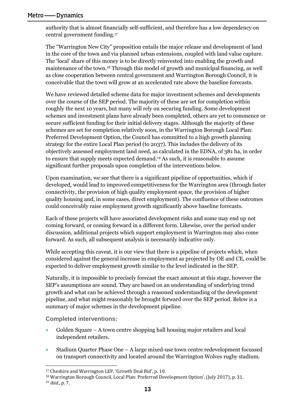authority that is almost financially self-sufficient, and therefore has a low dependency on central government funding.<sup>17</sup>

The "Warrington New City" proposition entails the major release and development of land in the core of the town and via planned urban extensions, coupled with land value capture. The 'local' share of this money is to be directly reinvested into enabling the growth and maintenance of the town. <sup>18</sup> Through this model of growth and municipal financing, as well as close cooperation between central government and Warrington Borough Council, it is conceivable that the town will grow at an accelerated rate above the baseline forecasts.

We have reviewed detailed scheme data for major investment schemes and developments over the course of the SEP period. The majority of these are set for completion within roughly the next 10 years, but many will rely on securing funding. Some development schemes and investment plans have already been completed, others are yet to commence or secure sufficient funding for their initial delivery stages. Although the majority of these schemes are set for completion relatively soon, in the Warrington Borough Local Plan: Preferred Development Option, the Council has committed to a high growth planning strategy for the entire Local Plan period (to 2037). This includes the delivery of its objectively assessed employment land need, as calculated in the EDNA, of 381 ha, in order to ensure that supply meets expected demand.<sup>19</sup> As such, it is reasonable to assume significant further proposals upon completion of the interventions below.

Upon examination, we see that there is a significant pipeline of opportunities, which if developed, would lead to improved competitiveness for the Warrington area (through faster connectivity, the provision of high quality employment space, the provision of higher quality housing and, in some cases, direct employment). The confluence of these outcomes could conceivably raise employment growth significantly above baseline forecasts.

Each of these projects will have associated development risks and some may end up not coming forward, or coming forward in a different form. Likewise, over the period under discussion, additional projects which support employment in Warrington may also come forward. As such, all subsequent analysis is necessarily indicative only.

While accepting this caveat, it is our view that there is a pipeline of projects which, when considered against the general increase in employment as projected by OE and CE, could be expected to deliver employment growth similar to the level indicated in the SEP.

Naturally, it is impossible to precisely forecast the exact amount at this stage, however the SEP's assumptions are sound. They are based on an understanding of underlying trend growth and what can be achieved through a reasoned understanding of the development pipeline, and what might reasonably be brought forward over the SEP period. Below is a summary of major schemes in the development pipeline.

**Completed interventions:**

- Golden Square A town centre shopping hall housing major retailers and local independent retailers.
- Stadium Quarter Phase One A large mixed-use town centre redevelopment focussed on transport connectivity and located around the Warrington Wolves rugby stadium.

 $\overline{\phantom{a}}$ <sup>17</sup> Cheshire and Warrington LEP, 'Growth Deal Bid', p. 10.

<sup>18</sup> Warrington Borough Council, Local Plan: Preferred Development Option', (July 2017), p. 31. <sup>19</sup> *ibid*., p. 7.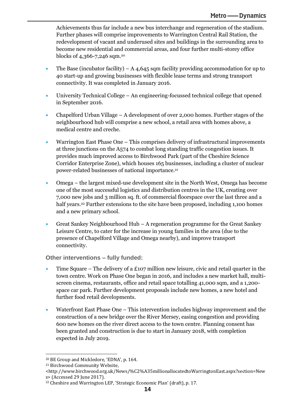Achievements thus far include a new bus interchange and regeneration of the stadium. Further phases will comprise improvements to Warrington Central Rail Station, the redevelopment of vacant and underused sites and buildings in the surrounding area to become new residential and commercial areas, and four further multi-storey office blocks of 4,366-7,246 sqm.<sup>20</sup>

- The Base (incubator facility) A 4,645 sqm facility providing accommodation for up to 40 start-up and growing businesses with flexible lease terms and strong transport connectivity. It was completed in January 2016.
- University Technical College An engineering-focussed technical college that opened in September 2016.
- Chapelford Urban Village A development of over 2,000 homes. Further stages of the neighbourhood hub will comprise a new school, a retail area with homes above, a medical centre and creche.
- Warrington East Phase One This comprises delivery of infrastructural improvements at three junctions on the A574 to combat long standing traffic congestion issues. It provides much improved access to Birchwood Park (part of the Cheshire Science Corridor Enterprise Zone), which houses 165 businesses, including a cluster of nuclear power-related businesses of national importance.<sup>21</sup>
- Omega the largest mixed-use development site in the North West, Omega has become one of the most successful logistics and distribution centres in the UK, creating over 7,000 new jobs and 3 million sq. ft. of commercial floorspace over the last three and a half years.<sup>22</sup> Further extensions to the site have been proposed, including 1,100 homes and a new primary school.
- Great Sankey Neighbourhood Hub A regeneration programme for the Great Sankey Leisure Centre, to cater for the increase in young families in the area (due to the presence of Chapelford Village and Omega nearby), and improve transport connectivity.

**Other interventions – fully funded:**

- Time Square The delivery of a £107 million new leisure, civic and retail quarter in the town centre. Work on Phase One began in 2016, and includes a new market hall, multiscreen cinema, restaurants, office and retail space totalling 41,000 sqm, and a 1,200 space car park. Further development proposals include new homes, a new hotel and further food retail developments.
- Waterfront East Phase One This intervention includes highway improvement and the construction of a new bridge over the River Mersey, easing congestion and providing 600 new homes on the river direct access to the town centre. Planning consent has been granted and construction is due to start in January 2018, with completion expected in July 2019.

<sup>20</sup> BE Group and Mickledore, 'EDNA', p. 164.

<sup>21</sup> Birchwood Community Website,

<sup>&</sup>lt;http://www.birchwood.org.uk/News/%C2%A35millionallocatedtoWarringtonEast.aspx?section=New s> (Accessed 29 June 2017).

<sup>22</sup> Cheshire and Warrington LEP, 'Strategic Economic Plan' (draft), p. 17.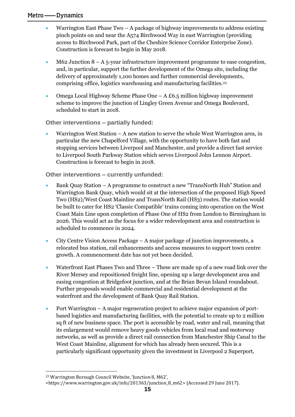- Warrington East Phase Two A package of highway improvements to address existing pinch points on and near the A574 Birchwood Way in east Warrington (providing access to Birchwood Park, part of the Cheshire Science Corridor Enterprise Zone). Construction is forecast to begin in May 2018.
- M62 Junction  $8 A_5$ -year infrastructure improvement programme to ease congestion, and, in particular, support the further development of the Omega site, including the delivery of approximately 1,100 homes and further commercial developments, comprising office, logistics warehousing and manufacturing facilities.<sup>23</sup>
- Omega Local Highway Scheme Phase One A £6.5 million highway improvement scheme to improve the junction of Lingley Green Avenue and Omega Boulevard, scheduled to start in 2018.

**Other interventions – partially funded:**

Warrington West Station  $-A$  new station to serve the whole West Warrington area, in particular the new Chapelford Village, with the opportunity to have both fast and stopping services between Liverpool and Manchester, and provide a direct fast service to Liverpool South Parkway Station which serves Liverpool John Lennon Airport. Construction is forecast to begin in 2018.

### **Other interventions – currently unfunded:**

- Bank Quay Station A programme to construct a new "TransNorth Hub" Station and Warrington Bank Quay, which would sit at the intersection of the proposed High Speed Two (HS2)/West Coast Mainline and TransNorth Rail (HS3) routes. The station would be built to cater for HS2 'Classic Compatible' trains coming into operation on the West Coast Main Line upon completion of Phase One of HS2 from London to Birmingham in 2026. This would act as the focus for a wider redevelopment area and construction is scheduled to commence in 2024.
- City Centre Vision Access Package A major package of junction improvements, a relocated bus station, rail enhancements and access measures to support town centre growth. A commencement date has not yet been decided.
- Waterfront East Phases Two and Three These are made up of a new road link over the River Mersey and repositioned freight line, opening up a large development area and easing congestion at Bridgefoot junction, and at the Brian Bevan Island roundabout. Further proposals would enable commercial and residential development at the waterfront and the development of Bank Quay Rail Station.
- Port Warrington A major regeneration project to achieve major expansion of portbased logistics and manufacturing facilities, with the potential to create up to 2 million sq ft of new business space. The port is accessible by road, water and rail, meaning that its enlargement would remove heavy goods vehicles from local road and motorway networks, as well as provide a direct rail connection from Manchester Ship Canal to the West Coast Mainline, alignment for which has already been secured. This is a particularly significant opportunity given the investment in Liverpool 2 Superport,

 $\overline{\phantom{a}}$ <sup>23</sup> Warrington Borough Council Website, 'Junction 8, M62',

<sup>&</sup>lt;https://www.warrington.gov.uk/info/201363/junction\_8\_m62> (Accessed 29 June 2017).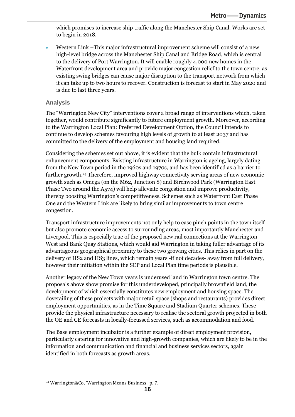which promises to increase ship traffic along the Manchester Ship Canal. Works are set to begin in 2018.

• Western Link –This major infrastructural improvement scheme will consist of a new high-level bridge across the Manchester Ship Canal and Bridge Road, which is central to the delivery of Port Warrington. It will enable roughly 4,000 new homes in the Waterfront development area and provide major congestion relief to the town centre, as existing swing bridges can cause major disruption to the transport network from which it can take up to two hours to recover. Construction is forecast to start in May 2020 and is due to last three years.

### **Analysis**

The "Warrington New City" interventions cover a broad range of interventions which, taken together, would contribute significantly to future employment growth. Moreover, according to the Warrington Local Plan: Preferred Development Option, the Council intends to continue to develop schemes favouring high levels of growth to at least 2037 and has committed to the delivery of the employment and housing land required.

Considering the schemes set out above, it is evident that the bulk contain infrastructural enhancement components. Existing infrastructure in Warrington is ageing, largely dating from the New Town period in the 1960s and 1970s, and has been identified as a barrier to further growth.<sup>24</sup> Therefore, improved highway connectivity serving areas of new economic growth such as Omega (on the M62, Junction 8) and Birchwood Park (Warrington East Phase Two around the A574) will help alleviate congestion and improve productivity, thereby boosting Warrington's competitiveness. Schemes such as Waterfront East Phase One and the Western Link are likely to bring similar improvements to town centre congestion.

Transport infrastructure improvements not only help to ease pinch points in the town itself but also promote economic access to surrounding areas, most importantly Manchester and Liverpool. This is especially true of the proposed new rail connections at the Warrington West and Bank Quay Stations, which would aid Warrington in taking fuller advantage of its advantageous geographical proximity to these two growing cities. This relies in part on the delivery of HS2 and HS3 lines, which remain years -if not decades- away from full delivery, however their initiation within the SEP and Local Plan time periods is plausible.

Another legacy of the New Town years is underused land in Warrington town centre. The proposals above show promise for this underdeveloped, principally brownfield land, the development of which essentially constitutes new employment and housing space. The dovetailing of these projects with major retail space (shops and restaurants) provides direct employment opportunities, as in the Time Square and Stadium Quarter schemes. These provide the physical infrastructure necessary to realise the sectoral growth projected in both the OE and CE forecasts in locally-focussed services, such as accommodation and food.

The Base employment incubator is a further example of direct employment provision, particularly catering for innovative and high-growth companies, which are likely to be in the information and communication and financial and business services sectors, again identified in both forecasts as growth areas.

<sup>24</sup> Warrington&Co, 'Warrington Means Business', p. 7.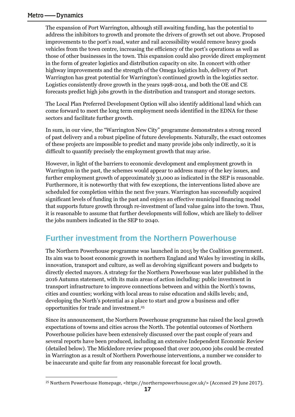$\overline{\phantom{a}}$ 

The expansion of Port Warrington, although still awaiting funding, has the potential to address the inhibitors to growth and promote the drivers of growth set out above. Proposed improvements to the port's road, water and rail accessibility would remove heavy goods vehicles from the town centre, increasing the efficiency of the port's operations as well as those of other businesses in the town. This expansion could also provide direct employment in the form of greater logistics and distribution capacity on site. In concert with other highway improvements and the strength of the Omega logistics hub, delivery of Port Warrington has great potential for Warrington's continued growth in the logistics sector. Logistics consistently drove growth in the years 1998-2014, and both the OE and CE forecasts predict high jobs growth in the distribution and transport and storage sectors.

The Local Plan Preferred Development Option will also identify additional land which can come forward to meet the long term employment needs identified in the EDNA for these sectors and facilitate further growth.

In sum, in our view, the "Warrington New City" programme demonstrates a strong record of past delivery and a robust pipeline of future developments. Naturally, the exact outcomes of these projects are impossible to predict and many provide jobs only indirectly, so it is difficult to quantify precisely the employment growth that may arise.

However, in light of the barriers to economic development and employment growth in Warrington in the past, the schemes would appear to address many of the key issues, and further employment growth of approximately 31,000 as indicated in the SEP is reasonable. Furthermore, it is noteworthy that with few exceptions, the interventions listed above are scheduled for completion within the next five years. Warrington has successfully acquired significant levels of funding in the past and enjoys an effective municipal financing model that supports future growth through re-investment of land value gains into the town. Thus, it is reasonable to assume that further developments will follow, which are likely to deliver the jobs numbers indicated in the SEP to 2040.

### **Further investment from the Northern Powerhouse**

The Northern Powerhouse programme was launched in 2015 by the Coalition government. Its aim was to boost economic growth in northern England and Wales by investing in skills, innovation, transport and culture, as well as devolving significant powers and budgets to directly elected mayors. A strategy for the Northern Powerhouse was later published in the 2016 Autumn statement, with its main areas of action including: public investment in transport infrastructure to improve connections between and within the North's towns, cities and counties; working with local areas to raise education and skills levels; and, developing the North's potential as a place to start and grow a business and offer opportunities for trade and investment.<sup>25</sup>

Since its announcement, the Northern Powerhouse programme has raised the local growth expectations of towns and cities across the North. The potential outcomes of Northern Powerhouse policies have been extensively discussed over the past couple of years and several reports have been produced, including an extensive Independent Economic Review (detailed below). The Mickledore review proposed that over 200,000 jobs could be created in Warrington as a result of Northern Powerhouse interventions, a number we consider to be inaccurate and quite far from any reasonable forecast for local growth.

<sup>&</sup>lt;sup>25</sup> Northern Powerhouse Homepage, <https://northernpowerhouse.gov.uk/> (Accessed 29 June 2017).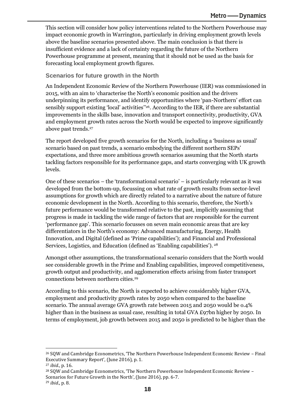This section will consider how policy interventions related to the Northern Powerhouse may impact economic growth in Warrington, particularly in driving employment growth levels above the baseline scenarios presented above. The main conclusion is that there is insufficient evidence and a lack of certainty regarding the future of the Northern Powerhouse programme at present, meaning that it should not be used as the basis for forecasting local employment growth figures.

### **Scenarios for future growth in the North**

An Independent Economic Review of the Northern Powerhouse (IER) was commissioned in 2015, with an aim to 'characterise the North's economic position and the drivers underpinning its performance, and identify opportunities where 'pan-Northern' effort can sensibly support existing 'local' activities'' 26 . According to the IER, if there are substantial improvements in the skills base, innovation and transport connectivity, productivity, GVA and employment growth rates across the North would be expected to improve significantly above past trends.<sup>27</sup>

The report developed five growth scenarios for the North, including a 'business as usual' scenario based on past trends, a scenario embodying the different northern SEPs' expectations, and three more ambitious growth scenarios assuming that the North starts tackling factors responsible for its performance gaps, and starts converging with UK growth levels.

One of these scenarios – the 'transformational scenario' – is particularly relevant as it was developed from the bottom-up, focussing on what rate of growth results from sector-level assumptions for growth which are directly related to a narrative about the nature of future economic development in the North. According to this scenario, therefore, the North's future performance would be transformed relative to the past, implicitly assuming that progress is made in tackling the wide range of factors that are responsible for the current 'performance gap'. This scenario focusses on seven main economic areas that are key differentiators in the North's economy: Advanced manufacturing, Energy, Health Innovation, and Digital (defined as 'Prime capabilities'); and Financial and Professional Services, Logistics, and Education (defined as 'Enabling capabilities'). <sup>28</sup>

Amongst other assumptions, the transformational scenario considers that the North would see considerable growth in the Prime and Enabling capabilities, improved competitiveness, growth output and productivity, and agglomeration effects arising from faster transport connections between northern cities. 29

According to this scenario, the North is expected to achieve considerably higher GVA, employment and productivity growth rates by 2050 when compared to the baseline scenario. The annual average GVA growth rate between 2015 and 2050 would be o.4% higher than in the business as usual case, resulting in total GVA £97bn higher by 2050. In terms of employment, job growth between 2015 and 2050 is predicted to be higher than the

 $\overline{a}$ 

<sup>26</sup> SQW and Cambridge Econometrics, 'The Northern Powerhouse Independent Economic Review – Final Executive Summary Report', (June 2016), p. 1.

<sup>27</sup> *ibid.*, p. 16.

<sup>28</sup> SQW and Cambridge Econometrics, 'The Northern Powerhouse Independent Economic Review – Scenarios for Future Growth in the North', (June 2016), pp. 6-7.

<sup>29</sup> *ibid*., p. 8.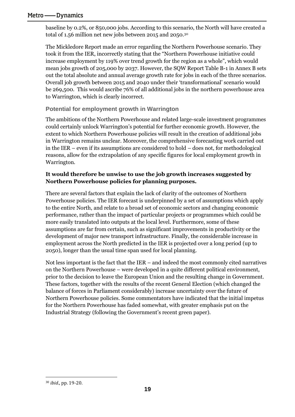baseline by 0.2%, or 850,000 jobs. According to this scenario, the North will have created a total of 1.56 million net new jobs between 2015 and 2050.<sup>30</sup>

The Mickledore Report made an error regarding the Northern Powerhouse scenario. They took it from the IER, incorrectly stating that the "Northern Powerhouse initiative could increase employment by 119% over trend growth for the region as a whole", which would mean jobs growth of 205,000 by 2037. However, the SQW Report Table B-1 in Annex B sets out the total absolute and annual average growth rate for jobs in each of the three scenarios. Overall job growth between 2015 and 2040 under their 'transformational' scenario would be 269,500. This would ascribe 76% of all additional jobs in the northern powerhouse area to Warrington, which is clearly incorrect.

### **Potential for employment growth in Warrington**

The ambitions of the Northern Powerhouse and related large-scale investment programmes could certainly unlock Warrington's potential for further economic growth. However, the extent to which Northern Powerhouse policies will result in the creation of additional jobs in Warrington remains unclear. Moreover, the comprehensive forecasting work carried out in the IER – even if its assumptions are considered to hold – does not, for methodological reasons, allow for the extrapolation of any specific figures for local employment growth in Warrington.

### **It would therefore be unwise to use the job growth increases suggested by Northern Powerhouse policies for planning purposes.**

There are several factors that explain the lack of clarity of the outcomes of Northern Powerhouse policies. The IER forecast is underpinned by a set of assumptions which apply to the entire North, and relate to a broad set of economic sectors and changing economic performance, rather than the impact of particular projects or programmes which could be more easily translated into outputs at the local level. Furthermore, some of these assumptions are far from certain, such as significant improvements in productivity or the development of major new transport infrastructure. Finally, the considerable increase in employment across the North predicted in the IER is projected over a long period (up to 2050), longer than the usual time span used for local planning.

Not less important is the fact that the IER – and indeed the most commonly cited narratives on the Northern Powerhouse – were developed in a quite different political environment, prior to the decision to leave the European Union and the resulting change in Government. These factors, together with the results of the recent General Election (which changed the balance of forces in Parliament considerably) increase uncertainty over the future of Northern Powerhouse policies. Some commentators have indicated that the initial impetus for the Northern Powerhouse has faded somewhat, with greater emphasis put on the Industrial Strategy (following the Government's recent green paper).

<sup>30</sup> *ibid*., pp. 19-20.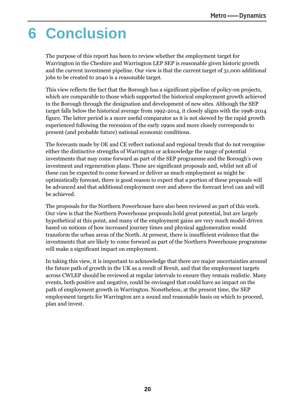## <span id="page-22-0"></span>**6 Conclusion**

The purpose of this report has been to review whether the employment target for Warrington in the Cheshire and Warrington LEP SEP is reasonable given historic growth and the current investment pipeline. Our view is that the current target of 31,000 additional jobs to be created to 2040 is a reasonable target.

This view reflects the fact that the Borough has a significant pipeline of policy-on projects, which are comparable to those which supported the historical employment growth achieved in the Borough through the designation and development of new sites. Although the SEP target falls below the historical average from 1992-2014, it closely aligns with the 1998-2014 figure. The latter period is a more useful comparator as it is not skewed by the rapid growth experienced following the recession of the early 1990s and more closely corresponds to present (and probable future) national economic conditions.

The forecasts made by OE and CE reflect national and regional trends that do not recognise either the distinctive strengths of Warrington or acknowledge the range of potential investments that may come forward as part of the SEP programme and the Borough's own investment and regeneration plans. These are significant proposals and, whilst not all of these can be expected to come forward or deliver as much employment as might be optimistically forecast, there is good reason to expect that a portion of these proposals will be advanced and that additional employment over and above the forecast level can and will be achieved.

The proposals for the Northern Powerhouse have also been reviewed as part of this work. Our view is that the Northern Powerhouse proposals hold great potential, but are largely hypothetical at this point, and many of the employment gains are very much model-driven based on notions of how increased journey times and physical agglomeration would transform the urban areas of the North. At present, there is insufficient evidence that the investments that are likely to come forward as part of the Northern Powerhouse programme will make a significant impact on employment.

In taking this view, it is important to acknowledge that there are major uncertainties around the future path of growth in the UK as a result of Brexit, and that the employment targets across CWLEP should be reviewed at regular intervals to ensure they remain realistic. Many events, both positive and negative, could be envisaged that could have an impact on the path of employment growth in Warrington. Nonetheless, at the present time, the SEP employment targets for Warrington are a sound and reasonable basis on which to proceed, plan and invest.